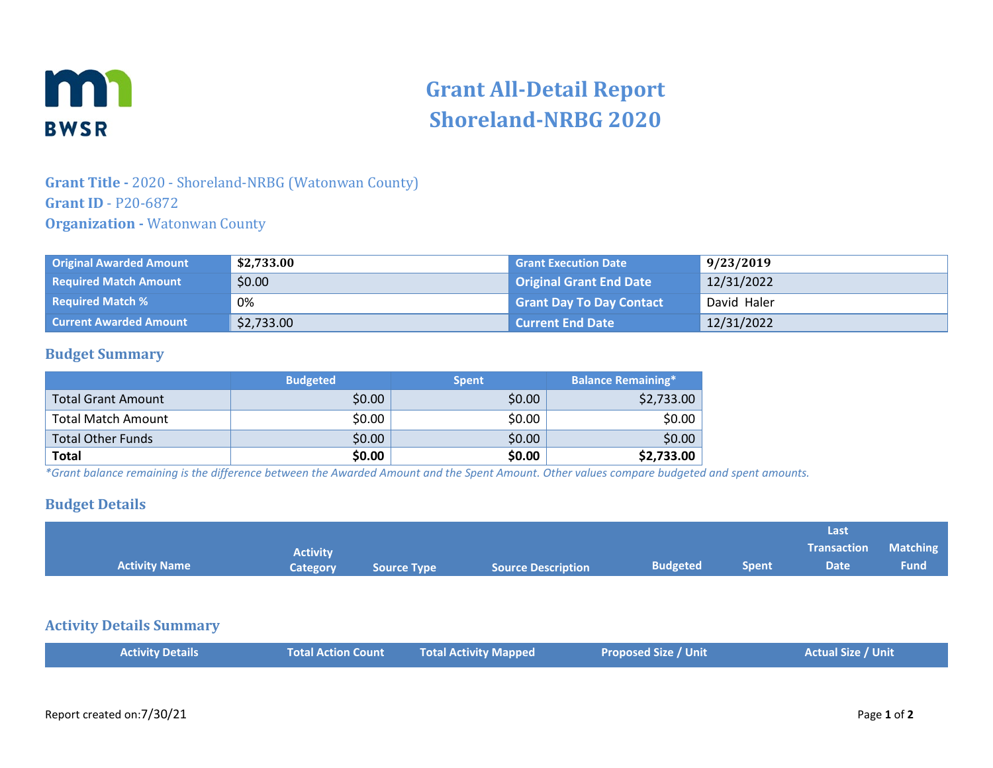

# **Grant All-Detail Report Shoreland-NRBG 2020**

## **Grant Title -** 2020 - Shoreland-NRBG (Watonwan County) **Grant ID** - P20-6872 **Organization -** Watonwan County

| <b>Original Awarded Amount</b> | \$2,733.00 | <b>Grant Execution Date</b>     | 9/23/2019   |
|--------------------------------|------------|---------------------------------|-------------|
| <b>Required Match Amount</b>   | \$0.00     | <b>Original Grant End Date</b>  | 12/31/2022  |
| <b>Required Match %</b>        | 0%         | <b>Grant Day To Day Contact</b> | David Haler |
| <b>Current Awarded Amount</b>  | \$2,733.00 | <b>Current End Date</b>         | 12/31/2022  |

### **Budget Summary**

|                           | <b>Budgeted</b> | <b>Spent</b> | <b>Balance Remaining*</b> |
|---------------------------|-----------------|--------------|---------------------------|
| <b>Total Grant Amount</b> | \$0.00          | \$0.00       | \$2,733.00                |
| <b>Total Match Amount</b> | \$0.00          | \$0.00       | \$0.00                    |
| Total Other Funds         | \$0.00          | \$0.00       | \$0.00                    |
| <b>Total</b>              | \$0.00          | \$0.00       | \$2,733.00                |

*\*Grant balance remaining is the difference between the Awarded Amount and the Spent Amount. Other values compare budgeted and spent amounts.*

#### **Budget Details**

| <b>Activity Name</b>            | <b>Activity</b><br><b>Category</b> | <b>Source Type</b> | <b>Source Description</b>    | <b>Budgeted</b>             | <b>Spent</b> | Last<br><b>Transaction</b><br><b>Date</b> | <b>Matching</b><br><b>Fund</b> |
|---------------------------------|------------------------------------|--------------------|------------------------------|-----------------------------|--------------|-------------------------------------------|--------------------------------|
| <b>Activity Details Summary</b> |                                    |                    |                              |                             |              |                                           |                                |
| <b>Activity Details</b>         | <b>Total Action Count</b>          |                    | <b>Total Activity Mapped</b> | <b>Proposed Size / Unit</b> |              | <b>Actual Size / Unit</b>                 |                                |